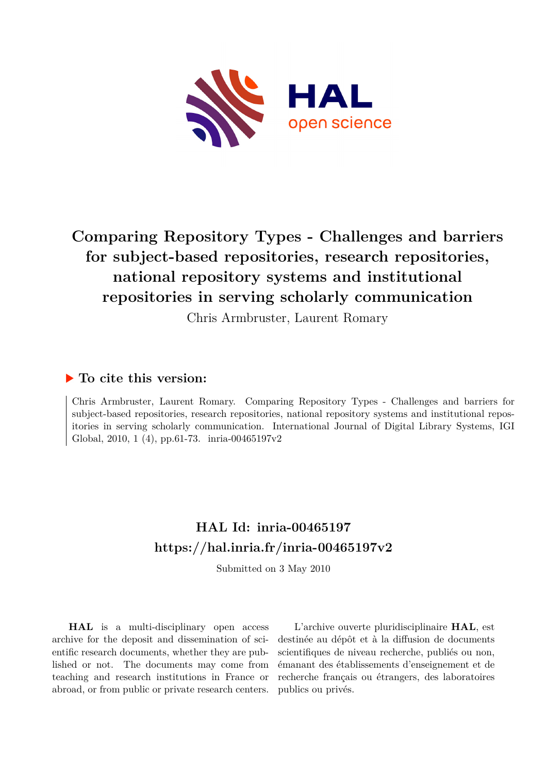

# **Comparing Repository Types - Challenges and barriers for subject-based repositories, research repositories, national repository systems and institutional repositories in serving scholarly communication**

Chris Armbruster, Laurent Romary

### **To cite this version:**

Chris Armbruster, Laurent Romary. Comparing Repository Types - Challenges and barriers for subject-based repositories, research repositories, national repository systems and institutional repositories in serving scholarly communication. International Journal of Digital Library Systems, IGI Global, 2010, 1 (4), pp.61-73. inria-00465197v2

## **HAL Id: inria-00465197 <https://hal.inria.fr/inria-00465197v2>**

Submitted on 3 May 2010

**HAL** is a multi-disciplinary open access archive for the deposit and dissemination of scientific research documents, whether they are published or not. The documents may come from teaching and research institutions in France or abroad, or from public or private research centers.

L'archive ouverte pluridisciplinaire **HAL**, est destinée au dépôt et à la diffusion de documents scientifiques de niveau recherche, publiés ou non, émanant des établissements d'enseignement et de recherche français ou étrangers, des laboratoires publics ou privés.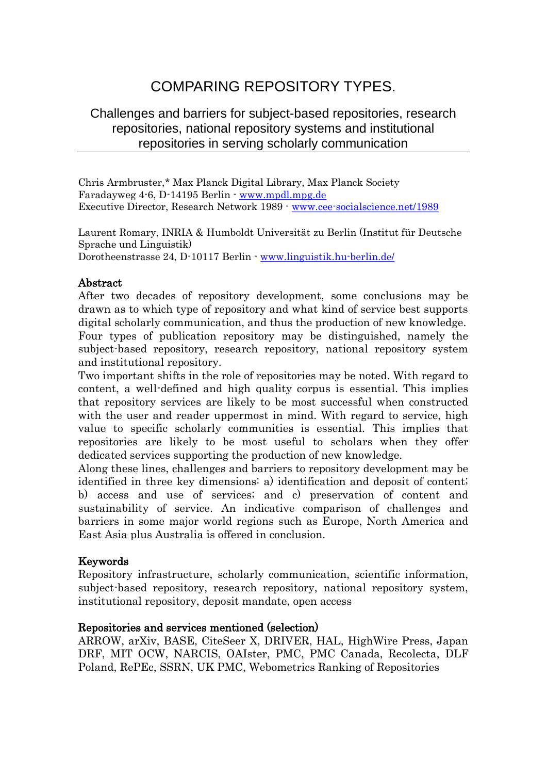## COMPARING REPOSITORY TYPES.

### Challenges and barriers for subject-based repositories, research repositories, national repository systems and institutional repositories in serving scholarly communication

Chris Armbruster,\* Max Planck Digital Library, Max Planck Society Faradayweg 4-6, D-14195 Berlin - [www.mpdl.mpg.de](http://www.mpdl.mpg.de/) Executive Director, Research Network 1989 - [www.cee-socialscience.net/1989](http://www.cee-socialscience.net/1989)

Laurent Romary, INRIA & Humboldt Universität zu Berlin (Institut für Deutsche Sprache und Linguistik) Dorotheenstrasse 24, D-10117 Berlin - [www.linguistik.hu-berlin.de/](http://www.linguistik.hu-berlin.de/)

#### Abstract

After two decades of repository development, some conclusions may be drawn as to which type of repository and what kind of service best supports digital scholarly communication, and thus the production of new knowledge. Four types of publication repository may be distinguished, namely the subject-based repository, research repository, national repository system and institutional repository.

Two important shifts in the role of repositories may be noted. With regard to content, a well-defined and high quality corpus is essential. This implies that repository services are likely to be most successful when constructed with the user and reader uppermost in mind. With regard to service, high value to specific scholarly communities is essential. This implies that repositories are likely to be most useful to scholars when they offer dedicated services supporting the production of new knowledge.

Along these lines, challenges and barriers to repository development may be identified in three key dimensions: a) identification and deposit of content; b) access and use of services; and c) preservation of content and sustainability of service. An indicative comparison of challenges and barriers in some major world regions such as Europe, North America and East Asia plus Australia is offered in conclusion.

#### Keywords

Repository infrastructure, scholarly communication, scientific information, subject-based repository, research repository, national repository system, institutional repository, deposit mandate, open access

#### Repositories and services mentioned (selection)

ARROW, arXiv, BASE, CiteSeer X, DRIVER, HAL, HighWire Press, Japan DRF, MIT OCW, NARCIS, OAIster, PMC, PMC Canada, Recolecta, DLF Poland, RePEc, SSRN, UK PMC, Webometrics Ranking of Repositories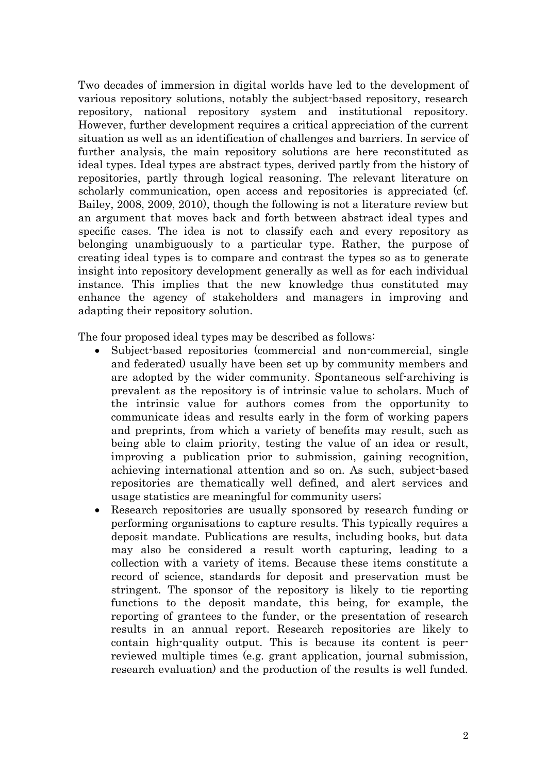Two decades of immersion in digital worlds have led to the development of various repository solutions, notably the subject-based repository, research repository, national repository system and institutional repository. However, further development requires a critical appreciation of the current situation as well as an identification of challenges and barriers. In service of further analysis, the main repository solutions are here reconstituted as ideal types. Ideal types are abstract types, derived partly from the history of repositories, partly through logical reasoning. The relevant literature on scholarly communication, open access and repositories is appreciated (cf. Bailey, 2008, 2009, 2010), though the following is not a literature review but an argument that moves back and forth between abstract ideal types and specific cases. The idea is not to classify each and every repository as belonging unambiguously to a particular type. Rather, the purpose of creating ideal types is to compare and contrast the types so as to generate insight into repository development generally as well as for each individual instance. This implies that the new knowledge thus constituted may enhance the agency of stakeholders and managers in improving and adapting their repository solution.

The four proposed ideal types may be described as follows:

- Subject-based repositories (commercial and non-commercial, single and federated) usually have been set up by community members and are adopted by the wider community. Spontaneous self-archiving is prevalent as the repository is of intrinsic value to scholars. Much of the intrinsic value for authors comes from the opportunity to communicate ideas and results early in the form of working papers and preprints, from which a variety of benefits may result, such as being able to claim priority, testing the value of an idea or result, improving a publication prior to submission, gaining recognition, achieving international attention and so on. As such, subject-based repositories are thematically well defined, and alert services and usage statistics are meaningful for community users;
- Research repositories are usually sponsored by research funding or performing organisations to capture results. This typically requires a deposit mandate. Publications are results, including books, but data may also be considered a result worth capturing, leading to a collection with a variety of items. Because these items constitute a record of science, standards for deposit and preservation must be stringent. The sponsor of the repository is likely to tie reporting functions to the deposit mandate, this being, for example, the reporting of grantees to the funder, or the presentation of research results in an annual report. Research repositories are likely to contain high-quality output. This is because its content is peerreviewed multiple times (e.g. grant application, journal submission, research evaluation) and the production of the results is well funded.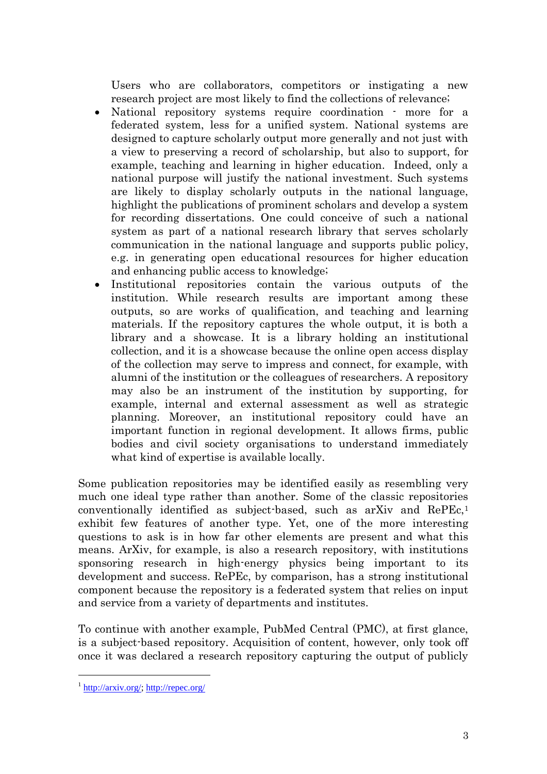Users who are collaborators, competitors or instigating a new research project are most likely to find the collections of relevance;

- National repository systems require coordination  $\cdot$  more for a federated system, less for a unified system. National systems are designed to capture scholarly output more generally and not just with a view to preserving a record of scholarship, but also to support, for example, teaching and learning in higher education. Indeed, only a national purpose will justify the national investment. Such systems are likely to display scholarly outputs in the national language, highlight the publications of prominent scholars and develop a system for recording dissertations. One could conceive of such a national system as part of a national research library that serves scholarly communication in the national language and supports public policy, e.g. in generating open educational resources for higher education and enhancing public access to knowledge;
- Institutional repositories contain the various outputs of the institution. While research results are important among these outputs, so are works of qualification, and teaching and learning materials. If the repository captures the whole output, it is both a library and a showcase. It is a library holding an institutional collection, and it is a showcase because the online open access display of the collection may serve to impress and connect, for example, with alumni of the institution or the colleagues of researchers. A repository may also be an instrument of the institution by supporting, for example, internal and external assessment as well as strategic planning. Moreover, an institutional repository could have an important function in regional development. It allows firms, public bodies and civil society organisations to understand immediately what kind of expertise is available locally.

Some publication repositories may be identified easily as resembling very much one ideal type rather than another. Some of the classic repositories conventionally identified as subject-based, such as arXiv and RePEc,<sup>1</sup> exhibit few features of another type. Yet, one of the more interesting questions to ask is in how far other elements are present and what this means. ArXiv, for example, is also a research repository, with institutions sponsoring research in high-energy physics being important to its development and success. RePEc, by comparison, has a strong institutional component because the repository is a federated system that relies on input and service from a variety of departments and institutes.

To continue with another example, PubMed Central (PMC), at first glance, is a subject-based repository. Acquisition of content, however, only took off once it was declared a research repository capturing the output of publicly

-

<sup>&</sup>lt;sup>1</sup> [http://arxiv.org/;](http://arxiv.org/)<http://repec.org/>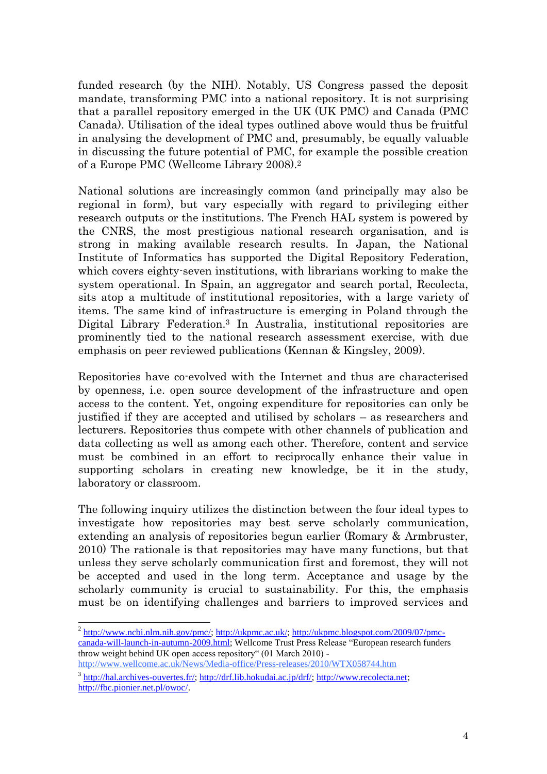funded research (by the NIH). Notably, US Congress passed the deposit mandate, transforming PMC into a national repository. It is not surprising that a parallel repository emerged in the UK (UK PMC) and Canada (PMC Canada). Utilisation of the ideal types outlined above would thus be fruitful in analysing the development of PMC and, presumably, be equally valuable in discussing the future potential of PMC, for example the possible creation of a Europe PMC (Wellcome Library 2008).<sup>2</sup>

National solutions are increasingly common (and principally may also be regional in form), but vary especially with regard to privileging either research outputs or the institutions. The French HAL system is powered by the CNRS, the most prestigious national research organisation, and is strong in making available research results. In Japan, the National Institute of Informatics has supported the Digital Repository Federation, which covers eighty-seven institutions, with librarians working to make the system operational. In Spain, an aggregator and search portal, Recolecta, sits atop a multitude of institutional repositories, with a large variety of items. The same kind of infrastructure is emerging in Poland through the Digital Library Federation.<sup>3</sup> In Australia, institutional repositories are prominently tied to the national research assessment exercise, with due emphasis on peer reviewed publications (Kennan & Kingsley, 2009).

Repositories have co-evolved with the Internet and thus are characterised by openness, i.e. open source development of the infrastructure and open access to the content. Yet, ongoing expenditure for repositories can only be justified if they are accepted and utilised by scholars – as researchers and lecturers. Repositories thus compete with other channels of publication and data collecting as well as among each other. Therefore, content and service must be combined in an effort to reciprocally enhance their value in supporting scholars in creating new knowledge, be it in the study, laboratory or classroom.

The following inquiry utilizes the distinction between the four ideal types to investigate how repositories may best serve scholarly communication, extending an analysis of repositories begun earlier (Romary & Armbruster, 2010) The rationale is that repositories may have many functions, but that unless they serve scholarly communication first and foremost, they will not be accepted and used in the long term. Acceptance and usage by the scholarly community is crucial to sustainability. For this, the emphasis must be on identifying challenges and barriers to improved services and

throw weight behind UK open access repository" (01 March 2010) -

[http://fbc.pionier.net.pl/owoc/.](http://fbc.pionier.net.pl/owoc/)

-

<sup>&</sup>lt;sup>2</sup> [http://www.ncbi.nlm.nih.gov/pmc/;](http://www.ncbi.nlm.nih.gov/pmc/) [http://ukpmc.ac.uk/;](http://ukpmc.ac.uk/) [http://ukpmc.blogspot.com/2009/07/pmc](http://ukpmc.blogspot.com/2009/07/pmc-canada-will-launch-in-autumn-2009.html)[canada-will-launch-in-autumn-2009.html;](http://ukpmc.blogspot.com/2009/07/pmc-canada-will-launch-in-autumn-2009.html) Wellcome Trust Press Release "European research funders

http://www.wellcome.ac.uk/News/Media-office/Press-releases/2010/WTX058744.htm <sup>3</sup> [http://hal.archives-ouvertes.fr/;](http://hal.archives-ouvertes.fr/) [http://drf.lib.hokudai.ac.jp/drf/;](http://drf.lib.hokudai.ac.jp/drf/) [http://www.recolecta.net;](http://www.recolecta.net/)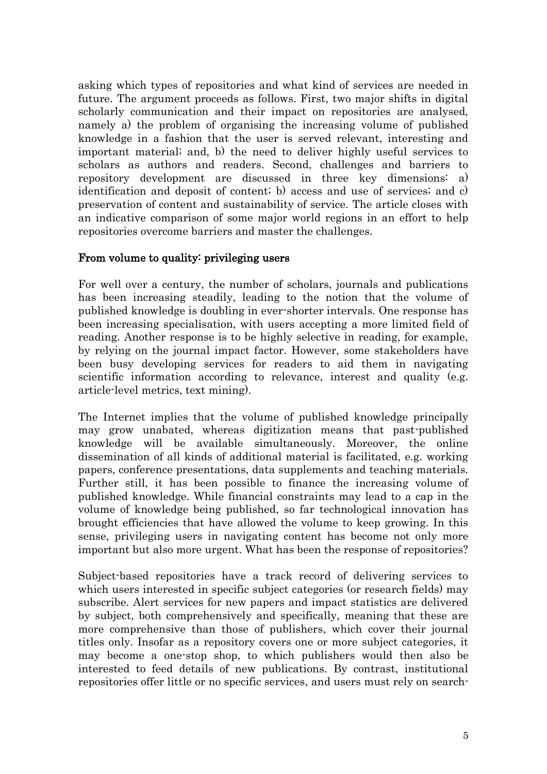asking which types of repositories and what kind of services are needed in future. The argument proceeds as follows. First, two major shifts in digital scholarly communication and their impact on repositories are analysed, namely a) the problem of organising the increasing volume of published knowledge in a fashion that the user is served relevant, interesting and important material; and, b) the need to deliver highly useful services to scholars as authors and readers. Second, challenges and barriers to repository development are discussed in three key dimensions: a) identification and deposit of content; b) access and use of services; and c) preservation of content and sustainability of service. The article closes with an indicative comparison of some major world regions in an effort to help repositories overcome barriers and master the challenges.

#### From volume to quality: privileging users

For well over a century, the number of scholars, journals and publications has been increasing steadily, leading to the notion that the volume of published knowledge is doubling in ever-shorter intervals. One response has been increasing specialisation, with users accepting a more limited field of reading. Another response is to be highly selective in reading, for example, by relying on the journal impact factor. However, some stakeholders have been busy developing services for readers to aid them in navigating scientific information according to relevance, interest and quality (e.g. article-level metrics, text mining).

The Internet implies that the volume of published knowledge principally may grow unabated, whereas digitization means that past-published knowledge will be available simultaneously. Moreover, the online dissemination of all kinds of additional material is facilitated, e.g. working papers, conference presentations, data supplements and teaching materials. Further still, it has been possible to finance the increasing volume of published knowledge. While financial constraints may lead to a cap in the volume of knowledge being published, so far technological innovation has brought efficiencies that have allowed the volume to keep growing. In this sense, privileging users in navigating content has become not only more important but also more urgent. What has been the response of repositories?

Subject-based repositories have a track record of delivering services to which users interested in specific subject categories (or research fields) may subscribe. Alert services for new papers and impact statistics are delivered by subject, both comprehensively and specifically, meaning that these are more comprehensive than those of publishers, which cover their journal titles only. Insofar as a repository covers one or more subject categories, it may become a one-stop shop, to which publishers would then also be interested to feed details of new publications. By contrast, institutional repositories offer little or no specific services, and users must rely on search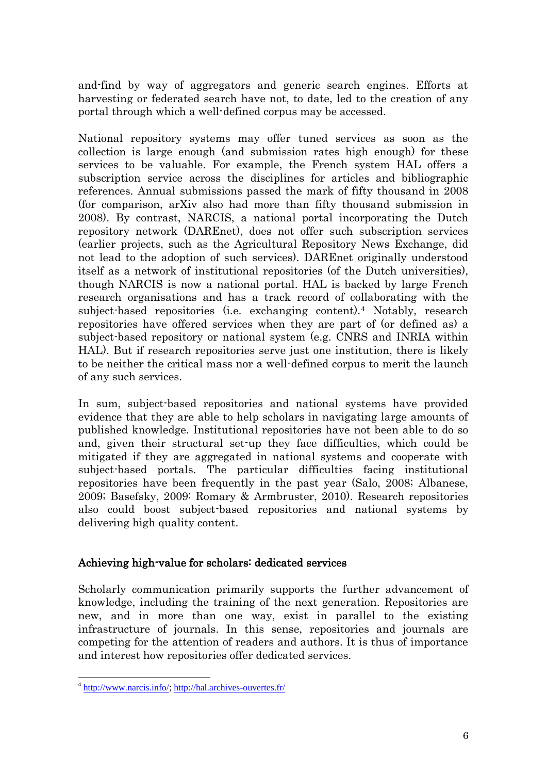and-find by way of aggregators and generic search engines. Efforts at harvesting or federated search have not, to date, led to the creation of any portal through which a well-defined corpus may be accessed.

National repository systems may offer tuned services as soon as the collection is large enough (and submission rates high enough) for these services to be valuable. For example, the French system HAL offers a subscription service across the disciplines for articles and bibliographic references. Annual submissions passed the mark of fifty thousand in 2008 (for comparison, arXiv also had more than fifty thousand submission in 2008). By contrast, NARCIS, a national portal incorporating the Dutch repository network (DAREnet), does not offer such subscription services (earlier projects, such as the Agricultural Repository News Exchange, did not lead to the adoption of such services). DAREnet originally understood itself as a network of institutional repositories (of the Dutch universities), though NARCIS is now a national portal. HAL is backed by large French research organisations and has a track record of collaborating with the subject-based repositories (i.e. exchanging content).<sup>4</sup> Notably, research repositories have offered services when they are part of (or defined as) a subject-based repository or national system (e.g. CNRS and INRIA within HAL). But if research repositories serve just one institution, there is likely to be neither the critical mass nor a well-defined corpus to merit the launch of any such services.

In sum, subject-based repositories and national systems have provided evidence that they are able to help scholars in navigating large amounts of published knowledge. Institutional repositories have not been able to do so and, given their structural set-up they face difficulties, which could be mitigated if they are aggregated in national systems and cooperate with subject-based portals. The particular difficulties facing institutional repositories have been frequently in the past year (Salo, 2008; Albanese, 2009; Basefsky, 2009: Romary & Armbruster, 2010). Research repositories also could boost subject-based repositories and national systems by delivering high quality content.

#### Achieving high-value for scholars: dedicated services

Scholarly communication primarily supports the further advancement of knowledge, including the training of the next generation. Repositories are new, and in more than one way, exist in parallel to the existing infrastructure of journals. In this sense, repositories and journals are competing for the attention of readers and authors. It is thus of importance and interest how repositories offer dedicated services.

<sup>4&</sup>lt;br>4 [http://www.narcis.info/;](http://www.narcis.info/)<http://hal.archives-ouvertes.fr/>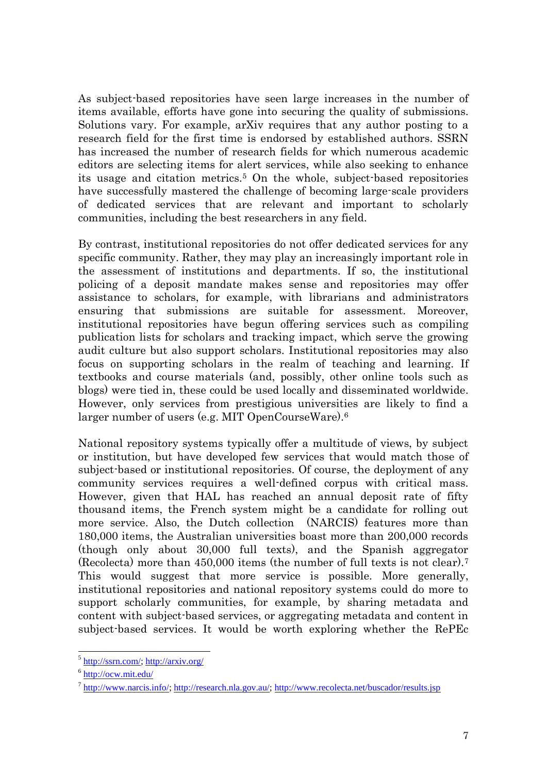As subject-based repositories have seen large increases in the number of items available, efforts have gone into securing the quality of submissions. Solutions vary. For example, arXiv requires that any author posting to a research field for the first time is endorsed by established authors. SSRN has increased the number of research fields for which numerous academic editors are selecting items for alert services, while also seeking to enhance its usage and citation metrics.<sup>5</sup> On the whole, subject-based repositories have successfully mastered the challenge of becoming large-scale providers of dedicated services that are relevant and important to scholarly communities, including the best researchers in any field.

By contrast, institutional repositories do not offer dedicated services for any specific community. Rather, they may play an increasingly important role in the assessment of institutions and departments. If so, the institutional policing of a deposit mandate makes sense and repositories may offer assistance to scholars, for example, with librarians and administrators ensuring that submissions are suitable for assessment. Moreover, institutional repositories have begun offering services such as compiling publication lists for scholars and tracking impact, which serve the growing audit culture but also support scholars. Institutional repositories may also focus on supporting scholars in the realm of teaching and learning. If textbooks and course materials (and, possibly, other online tools such as blogs) were tied in, these could be used locally and disseminated worldwide. However, only services from prestigious universities are likely to find a larger number of users (e.g. MIT OpenCourseWare).<sup>6</sup>

National repository systems typically offer a multitude of views, by subject or institution, but have developed few services that would match those of subject-based or institutional repositories. Of course, the deployment of any community services requires a well-defined corpus with critical mass. However, given that HAL has reached an annual deposit rate of fifty thousand items, the French system might be a candidate for rolling out more service. Also, the Dutch collection (NARCIS) features more than 180,000 items, the Australian universities boast more than 200,000 records (though only about 30,000 full texts), and the Spanish aggregator (Recolecta) more than 450,000 items (the number of full texts is not clear).<sup>7</sup> This would suggest that more service is possible. More generally, institutional repositories and national repository systems could do more to support scholarly communities, for example, by sharing metadata and content with subject-based services, or aggregating metadata and content in subject-based services. It would be worth exploring whether the RePEc

<sup>&</sup>lt;sup>5</sup> [http://ssrn.com/;](http://ssrn.com/)<http://arxiv.org/>

<sup>&</sup>lt;sup>6</sup> <http://ocw.mit.edu/>

<sup>&</sup>lt;sup>7</sup> [http://www.narcis.info/;](http://www.narcis.info/) [http://research.nla.gov.au/;](http://research.nla.gov.au/)<http://www.recolecta.net/buscador/results.jsp>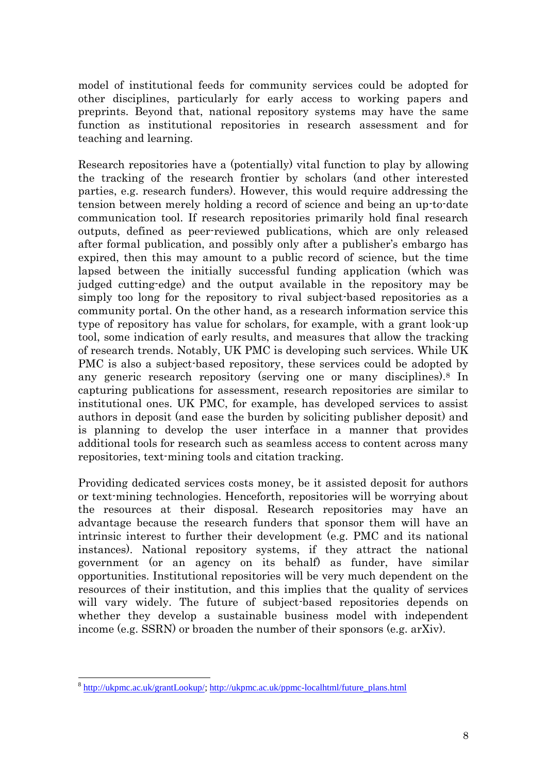model of institutional feeds for community services could be adopted for other disciplines, particularly for early access to working papers and preprints. Beyond that, national repository systems may have the same function as institutional repositories in research assessment and for teaching and learning.

Research repositories have a (potentially) vital function to play by allowing the tracking of the research frontier by scholars (and other interested parties, e.g. research funders). However, this would require addressing the tension between merely holding a record of science and being an up-to-date communication tool. If research repositories primarily hold final research outputs, defined as peer-reviewed publications, which are only released after formal publication, and possibly only after a publisher's embargo has expired, then this may amount to a public record of science, but the time lapsed between the initially successful funding application (which was judged cutting-edge) and the output available in the repository may be simply too long for the repository to rival subject-based repositories as a community portal. On the other hand, as a research information service this type of repository has value for scholars, for example, with a grant look-up tool, some indication of early results, and measures that allow the tracking of research trends. Notably, UK PMC is developing such services. While UK PMC is also a subject-based repository, these services could be adopted by any generic research repository (serving one or many disciplines).<sup>8</sup> In capturing publications for assessment, research repositories are similar to institutional ones. UK PMC, for example, has developed services to assist authors in deposit (and ease the burden by soliciting publisher deposit) and is planning to develop the user interface in a manner that provides additional tools for research such as seamless access to content across many repositories, text-mining tools and citation tracking.

Providing dedicated services costs money, be it assisted deposit for authors or text-mining technologies. Henceforth, repositories will be worrying about the resources at their disposal. Research repositories may have an advantage because the research funders that sponsor them will have an intrinsic interest to further their development (e.g. PMC and its national instances). National repository systems, if they attract the national government (or an agency on its behalf) as funder, have similar opportunities. Institutional repositories will be very much dependent on the resources of their institution, and this implies that the quality of services will vary widely. The future of subject-based repositories depends on whether they develop a sustainable business model with independent income (e.g. SSRN) or broaden the number of their sponsors (e.g. arXiv).

<sup>-&</sup>lt;br><sup>8</sup> [http://ukpmc.ac.uk/grantLookup/;](http://ukpmc.ac.uk/grantLookup/) http://ukpmc.ac.uk/ppmc-localhtml/future\_plans.html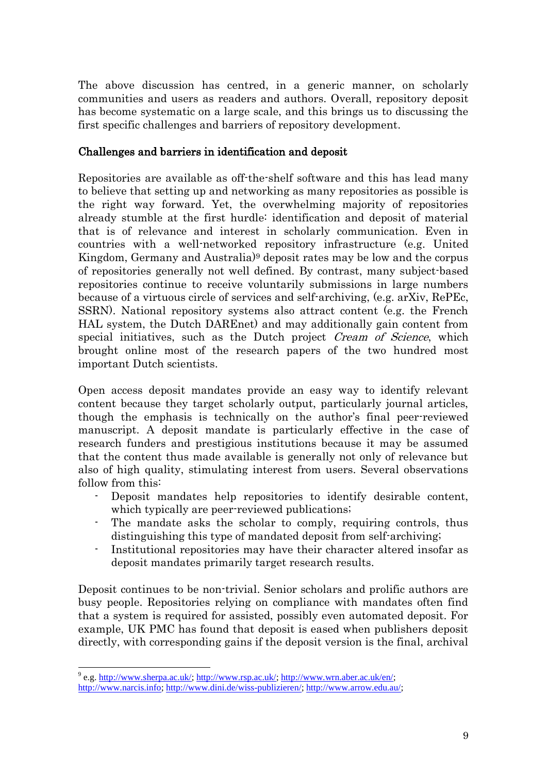The above discussion has centred, in a generic manner, on scholarly communities and users as readers and authors. Overall, repository deposit has become systematic on a large scale, and this brings us to discussing the first specific challenges and barriers of repository development.

#### Challenges and barriers in identification and deposit

Repositories are available as off-the-shelf software and this has lead many to believe that setting up and networking as many repositories as possible is the right way forward. Yet, the overwhelming majority of repositories already stumble at the first hurdle: identification and deposit of material that is of relevance and interest in scholarly communication. Even in countries with a well-networked repository infrastructure (e.g. United Kingdom, Germany and Australia)<sup>9</sup> deposit rates may be low and the corpus of repositories generally not well defined. By contrast, many subject-based repositories continue to receive voluntarily submissions in large numbers because of a virtuous circle of services and self-archiving, (e.g. arXiv, RePEc, SSRN). National repository systems also attract content (e.g. the French HAL system, the Dutch DAREnet) and may additionally gain content from special initiatives, such as the Dutch project *Cream of Science*, which brought online most of the research papers of the two hundred most important Dutch scientists.

Open access deposit mandates provide an easy way to identify relevant content because they target scholarly output, particularly journal articles, though the emphasis is technically on the author's final peer-reviewed manuscript. A deposit mandate is particularly effective in the case of research funders and prestigious institutions because it may be assumed that the content thus made available is generally not only of relevance but also of high quality, stimulating interest from users. Several observations follow from this:

- Deposit mandates help repositories to identify desirable content, which typically are peer-reviewed publications;
- The mandate asks the scholar to comply, requiring controls, thus distinguishing this type of mandated deposit from self-archiving;
- Institutional repositories may have their character altered insofar as deposit mandates primarily target research results.

Deposit continues to be non-trivial. Senior scholars and prolific authors are busy people. Repositories relying on compliance with mandates often find that a system is required for assisted, possibly even automated deposit. For example, UK PMC has found that deposit is eased when publishers deposit directly, with corresponding gains if the deposit version is the final, archival

<sup>&</sup>lt;sup>9</sup> e.g. <u>http://www.sherpa.ac.uk/; [http://www.rsp.ac.uk/;](http://www.rsp.ac.uk/) [http://www.wrn.aber.ac.uk/en/;](http://www.wrn.aber.ac.uk/en/)</u> [http://www.narcis.info;](http://www.narcis.info/) [http://www.dini.de/wiss-publizieren/;](http://www.dini.de/wiss-publizieren/) [http://www.arrow.edu.au/;](http://www.arrow.edu.au/)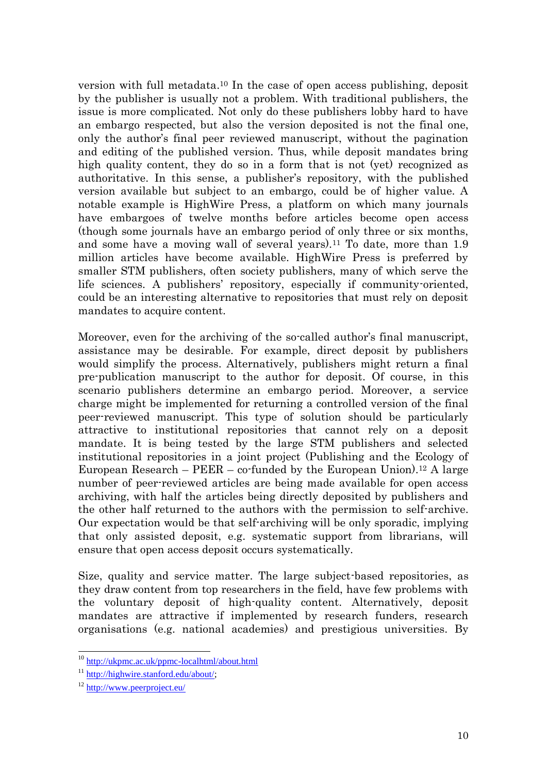version with full metadata. <sup>10</sup> In the case of open access publishing, deposit by the publisher is usually not a problem. With traditional publishers, the issue is more complicated. Not only do these publishers lobby hard to have an embargo respected, but also the version deposited is not the final one, only the author's final peer reviewed manuscript, without the pagination and editing of the published version. Thus, while deposit mandates bring high quality content, they do so in a form that is not (yet) recognized as authoritative. In this sense, a publisher's repository, with the published version available but subject to an embargo, could be of higher value. A notable example is HighWire Press, a platform on which many journals have embargoes of twelve months before articles become open access (though some journals have an embargo period of only three or six months, and some have a moving wall of several years).<sup>11</sup> To date, more than 1.9 million articles have become available. HighWire Press is preferred by smaller STM publishers, often society publishers, many of which serve the life sciences. A publishers' repository, especially if community-oriented, could be an interesting alternative to repositories that must rely on deposit mandates to acquire content.

Moreover, even for the archiving of the so-called author's final manuscript, assistance may be desirable. For example, direct deposit by publishers would simplify the process. Alternatively, publishers might return a final pre-publication manuscript to the author for deposit. Of course, in this scenario publishers determine an embargo period. Moreover, a service charge might be implemented for returning a controlled version of the final peer-reviewed manuscript. This type of solution should be particularly attractive to institutional repositories that cannot rely on a deposit mandate. It is being tested by the large STM publishers and selected institutional repositories in a joint project (Publishing and the Ecology of European Research –  $PEER - co$  funded by the European Union).<sup>12</sup> A large number of peer-reviewed articles are being made available for open access archiving, with half the articles being directly deposited by publishers and the other half returned to the authors with the permission to self-archive. Our expectation would be that self-archiving will be only sporadic, implying that only assisted deposit, e.g. systematic support from librarians, will ensure that open access deposit occurs systematically.

Size, quality and service matter. The large subject-based repositories, as they draw content from top researchers in the field, have few problems with the voluntary deposit of high-quality content. Alternatively, deposit mandates are attractive if implemented by research funders, research organisations (e.g. national academies) and prestigious universities. By

<sup>&</sup>lt;sup>10</sup> <http://ukpmc.ac.uk/ppmc-localhtml/about.html>

<sup>11</sup> [http://highwire.stanford.edu/about/;](http://highwire.stanford.edu/about/)

<sup>12</sup> <http://www.peerproject.eu/>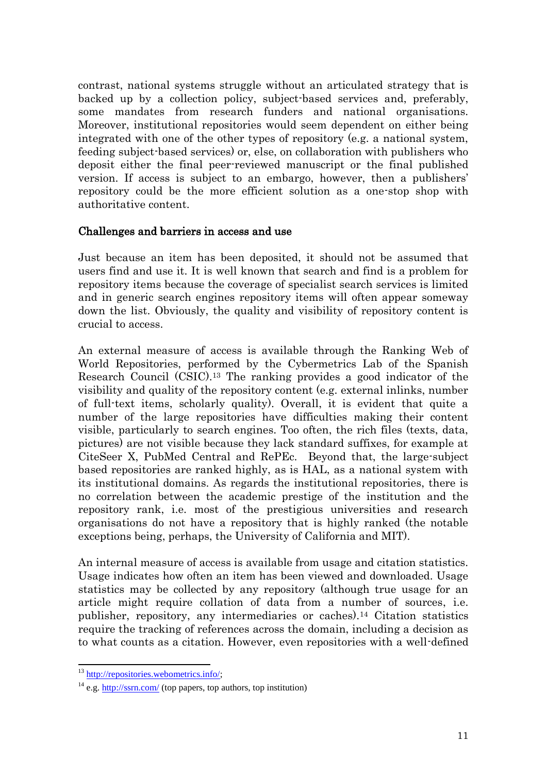contrast, national systems struggle without an articulated strategy that is backed up by a collection policy, subject-based services and, preferably, some mandates from research funders and national organisations. Moreover, institutional repositories would seem dependent on either being integrated with one of the other types of repository (e.g. a national system, feeding subject-based services) or, else, on collaboration with publishers who deposit either the final peer-reviewed manuscript or the final published version. If access is subject to an embargo, however, then a publishers' repository could be the more efficient solution as a one-stop shop with authoritative content.

#### Challenges and barriers in access and use

Just because an item has been deposited, it should not be assumed that users find and use it. It is well known that search and find is a problem for repository items because the coverage of specialist search services is limited and in generic search engines repository items will often appear someway down the list. Obviously, the quality and visibility of repository content is crucial to access.

An external measure of access is available through the Ranking Web of World Repositories, performed by the Cybermetrics Lab of the Spanish Research Council (CSIC).<sup>13</sup> The ranking provides a good indicator of the visibility and quality of the repository content (e.g. external inlinks, number of full-text items, scholarly quality). Overall, it is evident that quite a number of the large repositories have difficulties making their content visible, particularly to search engines. Too often, the rich files (texts, data, pictures) are not visible because they lack standard suffixes, for example at CiteSeer X, PubMed Central and RePEc. Beyond that, the large-subject based repositories are ranked highly, as is HAL, as a national system with its institutional domains. As regards the institutional repositories, there is no correlation between the academic prestige of the institution and the repository rank, i.e. most of the prestigious universities and research organisations do not have a repository that is highly ranked (the notable exceptions being, perhaps, the University of California and MIT).

An internal measure of access is available from usage and citation statistics. Usage indicates how often an item has been viewed and downloaded. Usage statistics may be collected by any repository (although true usage for an article might require collation of data from a number of sources, i.e. publisher, repository, any intermediaries or caches).<sup>14</sup> Citation statistics require the tracking of references across the domain, including a decision as to what counts as a citation. However, even repositories with a well-defined

<sup>&</sup>lt;sup>13</sup> [http://repositories.webometrics.info/;](http://repositories.webometrics.info/)

 $14$  e.g.<http://ssrn.com/> (top papers, top authors, top institution)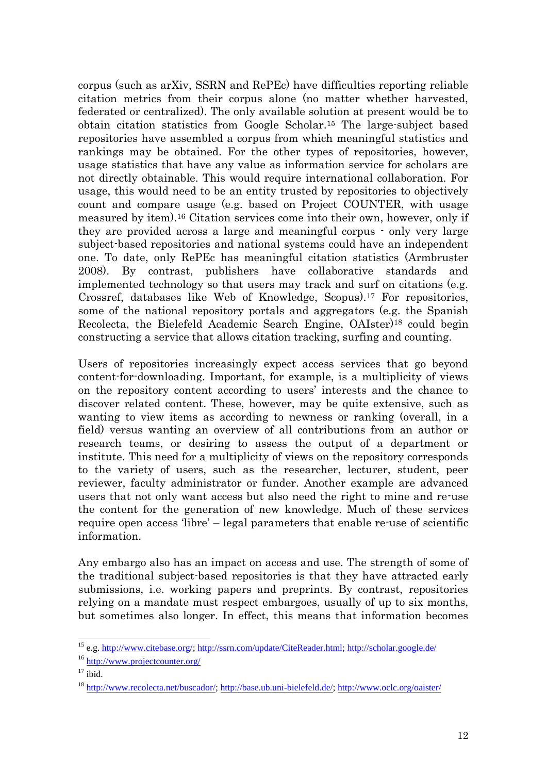corpus (such as arXiv, SSRN and RePEc) have difficulties reporting reliable citation metrics from their corpus alone (no matter whether harvested, federated or centralized). The only available solution at present would be to obtain citation statistics from Google Scholar.<sup>15</sup> The large-subject based repositories have assembled a corpus from which meaningful statistics and rankings may be obtained. For the other types of repositories, however, usage statistics that have any value as information service for scholars are not directly obtainable. This would require international collaboration. For usage, this would need to be an entity trusted by repositories to objectively count and compare usage (e.g. based on Project COUNTER, with usage measured by item).<sup>16</sup> Citation services come into their own, however, only if they are provided across a large and meaningful corpus - only very large subject-based repositories and national systems could have an independent one. To date, only RePEc has meaningful citation statistics (Armbruster 2008). By contrast, publishers have collaborative standards and implemented technology so that users may track and surf on citations (e.g. Crossref, databases like Web of Knowledge, Scopus).<sup>17</sup> For repositories, some of the national repository portals and aggregators (e.g. the Spanish Recolecta, the Bielefeld Academic Search Engine, OAIster)<sup>18</sup> could begin constructing a service that allows citation tracking, surfing and counting.

Users of repositories increasingly expect access services that go beyond content-for-downloading. Important, for example, is a multiplicity of views on the repository content according to users' interests and the chance to discover related content. These, however, may be quite extensive, such as wanting to view items as according to newness or ranking (overall, in a field) versus wanting an overview of all contributions from an author or research teams, or desiring to assess the output of a department or institute. This need for a multiplicity of views on the repository corresponds to the variety of users, such as the researcher, lecturer, student, peer reviewer, faculty administrator or funder. Another example are advanced users that not only want access but also need the right to mine and re-use the content for the generation of new knowledge. Much of these services require open access 'libre' – legal parameters that enable re-use of scientific information.

Any embargo also has an impact on access and use. The strength of some of the traditional subject-based repositories is that they have attracted early submissions, i.e. working papers and preprints. By contrast, repositories relying on a mandate must respect embargoes, usually of up to six months, but sometimes also longer. In effect, this means that information becomes

<sup>15</sup> e.g. [http://www.citebase.org/;](http://www.citebase.org/) [http://ssrn.com/update/CiteReader.html;](http://ssrn.com/update/CiteReader.html)<http://scholar.google.de/>

<sup>&</sup>lt;sup>16</sup> <http://www.projectcounter.org/>

 $17$  ibid.

<sup>&</sup>lt;sup>18</sup> [http://www.recolecta.net/buscador/;](http://www.recolecta.net/buscador/) [http://base.ub.uni-bielefeld.de/;](http://base.ub.uni-bielefeld.de/)<http://www.oclc.org/oaister/>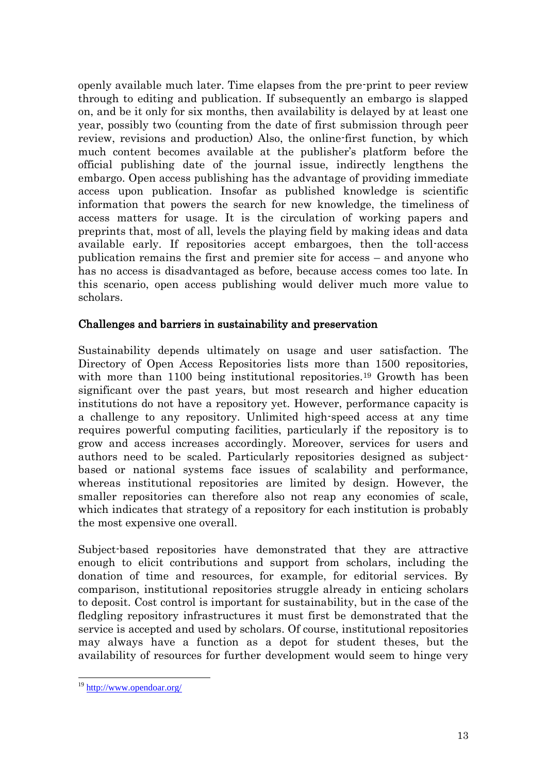openly available much later. Time elapses from the pre-print to peer review through to editing and publication. If subsequently an embargo is slapped on, and be it only for six months, then availability is delayed by at least one year, possibly two (counting from the date of first submission through peer review, revisions and production) Also, the online-first function, by which much content becomes available at the publisher's platform before the official publishing date of the journal issue, indirectly lengthens the embargo. Open access publishing has the advantage of providing immediate access upon publication. Insofar as published knowledge is scientific information that powers the search for new knowledge, the timeliness of access matters for usage. It is the circulation of working papers and preprints that, most of all, levels the playing field by making ideas and data available early. If repositories accept embargoes, then the toll-access publication remains the first and premier site for access – and anyone who has no access is disadvantaged as before, because access comes too late. In this scenario, open access publishing would deliver much more value to scholars.

#### Challenges and barriers in sustainability and preservation

Sustainability depends ultimately on usage and user satisfaction. The Directory of Open Access Repositories lists more than 1500 repositories, with more than 1100 being institutional repositories.<sup>19</sup> Growth has been significant over the past years, but most research and higher education institutions do not have a repository yet. However, performance capacity is a challenge to any repository. Unlimited high-speed access at any time requires powerful computing facilities, particularly if the repository is to grow and access increases accordingly. Moreover, services for users and authors need to be scaled. Particularly repositories designed as subjectbased or national systems face issues of scalability and performance, whereas institutional repositories are limited by design. However, the smaller repositories can therefore also not reap any economies of scale, which indicates that strategy of a repository for each institution is probably the most expensive one overall.

Subject-based repositories have demonstrated that they are attractive enough to elicit contributions and support from scholars, including the donation of time and resources, for example, for editorial services. By comparison, institutional repositories struggle already in enticing scholars to deposit. Cost control is important for sustainability, but in the case of the fledgling repository infrastructures it must first be demonstrated that the service is accepted and used by scholars. Of course, institutional repositories may always have a function as a depot for student theses, but the availability of resources for further development would seem to hinge very

<sup>19</sup> <http://www.opendoar.org/>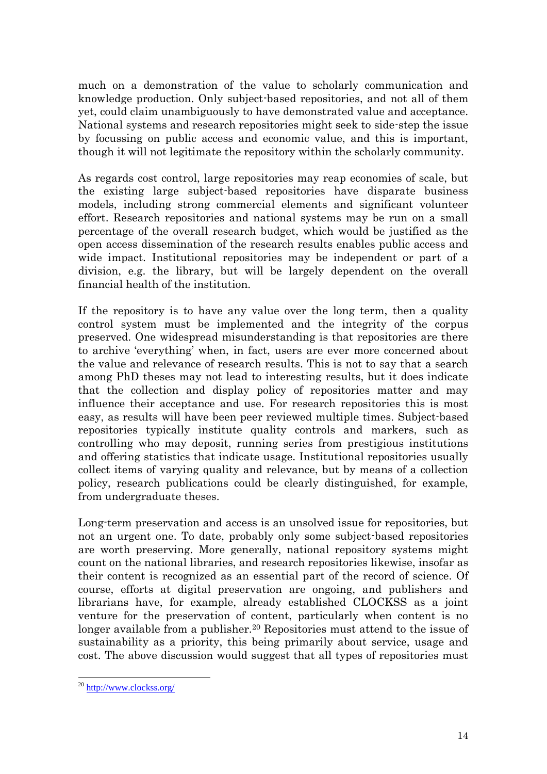much on a demonstration of the value to scholarly communication and knowledge production. Only subject-based repositories, and not all of them yet, could claim unambiguously to have demonstrated value and acceptance. National systems and research repositories might seek to side-step the issue by focussing on public access and economic value, and this is important, though it will not legitimate the repository within the scholarly community.

As regards cost control, large repositories may reap economies of scale, but the existing large subject-based repositories have disparate business models, including strong commercial elements and significant volunteer effort. Research repositories and national systems may be run on a small percentage of the overall research budget, which would be justified as the open access dissemination of the research results enables public access and wide impact. Institutional repositories may be independent or part of a division, e.g. the library, but will be largely dependent on the overall financial health of the institution.

If the repository is to have any value over the long term, then a quality control system must be implemented and the integrity of the corpus preserved. One widespread misunderstanding is that repositories are there to archive 'everything' when, in fact, users are ever more concerned about the value and relevance of research results. This is not to say that a search among PhD theses may not lead to interesting results, but it does indicate that the collection and display policy of repositories matter and may influence their acceptance and use. For research repositories this is most easy, as results will have been peer reviewed multiple times. Subject-based repositories typically institute quality controls and markers, such as controlling who may deposit, running series from prestigious institutions and offering statistics that indicate usage. Institutional repositories usually collect items of varying quality and relevance, but by means of a collection policy, research publications could be clearly distinguished, for example, from undergraduate theses.

Long-term preservation and access is an unsolved issue for repositories, but not an urgent one. To date, probably only some subject-based repositories are worth preserving. More generally, national repository systems might count on the national libraries, and research repositories likewise, insofar as their content is recognized as an essential part of the record of science. Of course, efforts at digital preservation are ongoing, and publishers and librarians have, for example, already established CLOCKSS as a joint venture for the preservation of content, particularly when content is no longer available from a publisher.<sup>20</sup> Repositories must attend to the issue of sustainability as a priority, this being primarily about service, usage and cost. The above discussion would suggest that all types of repositories must

<sup>20</sup> <http://www.clockss.org/>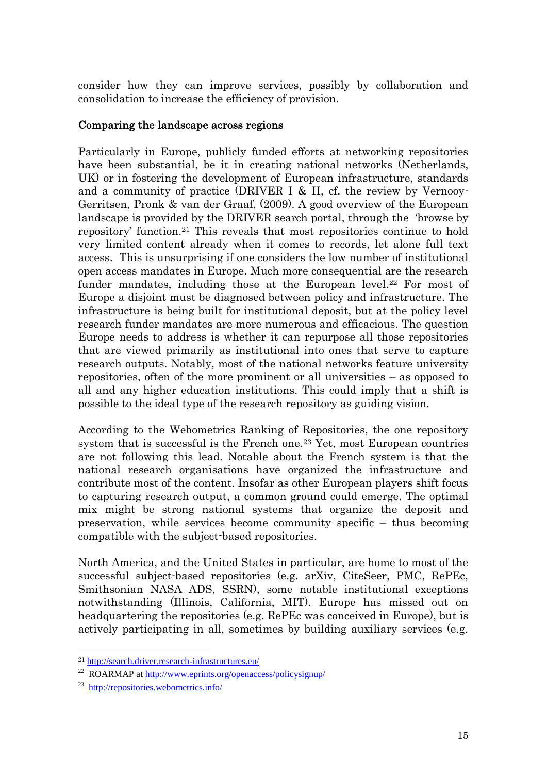consider how they can improve services, possibly by collaboration and consolidation to increase the efficiency of provision.

#### Comparing the landscape across regions

Particularly in Europe, publicly funded efforts at networking repositories have been substantial, be it in creating national networks (Netherlands, UK) or in fostering the development of European infrastructure, standards and a community of practice (DRIVER I & II, cf. the review by Vernooy-Gerritsen, Pronk & van der Graaf, (2009). A good overview of the European landscape is provided by the DRIVER search portal, through the 'browse by repository' function.<sup>21</sup> This reveals that most repositories continue to hold very limited content already when it comes to records, let alone full text access. This is unsurprising if one considers the low number of institutional open access mandates in Europe. Much more consequential are the research funder mandates, including those at the European level.<sup>22</sup> For most of Europe a disjoint must be diagnosed between policy and infrastructure. The infrastructure is being built for institutional deposit, but at the policy level research funder mandates are more numerous and efficacious. The question Europe needs to address is whether it can repurpose all those repositories that are viewed primarily as institutional into ones that serve to capture research outputs. Notably, most of the national networks feature university repositories, often of the more prominent or all universities – as opposed to all and any higher education institutions. This could imply that a shift is possible to the ideal type of the research repository as guiding vision.

According to the Webometrics Ranking of Repositories, the one repository system that is successful is the French one.<sup>23</sup> Yet, most European countries are not following this lead. Notable about the French system is that the national research organisations have organized the infrastructure and contribute most of the content. Insofar as other European players shift focus to capturing research output, a common ground could emerge. The optimal mix might be strong national systems that organize the deposit and preservation, while services become community specific – thus becoming compatible with the subject-based repositories.

North America, and the United States in particular, are home to most of the successful subject-based repositories (e.g. arXiv, CiteSeer, PMC, RePEc, Smithsonian NASA ADS, SSRN), some notable institutional exceptions notwithstanding (Illinois, California, MIT). Europe has missed out on headquartering the repositories (e.g. RePEc was conceived in Europe), but is actively participating in all, sometimes by building auxiliary services (e.g.

<sup>21</sup> <http://search.driver.research-infrastructures.eu/>

<sup>&</sup>lt;sup>22</sup> ROARMAP at<http://www.eprints.org/openaccess/policysignup/>

<sup>&</sup>lt;sup>23</sup><http://repositories.webometrics.info/>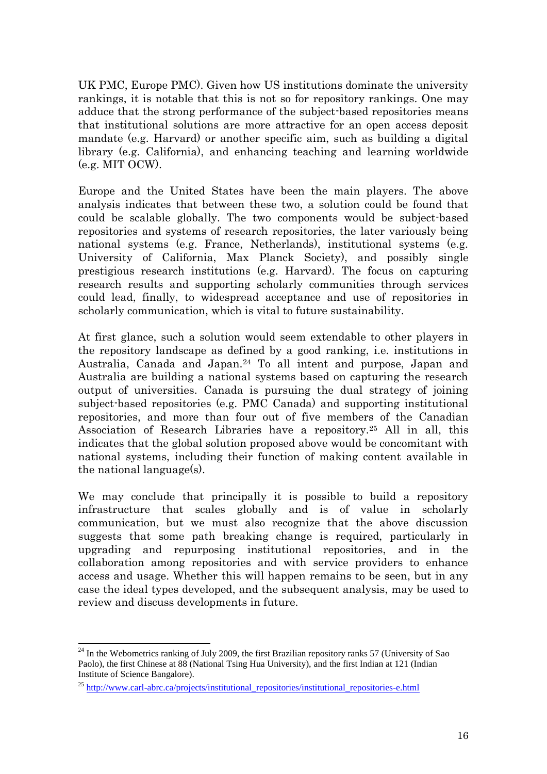UK PMC, Europe PMC). Given how US institutions dominate the university rankings, it is notable that this is not so for repository rankings. One may adduce that the strong performance of the subject-based repositories means that institutional solutions are more attractive for an open access deposit mandate (e.g. Harvard) or another specific aim, such as building a digital library (e.g. California), and enhancing teaching and learning worldwide (e.g. MIT OCW).

Europe and the United States have been the main players. The above analysis indicates that between these two, a solution could be found that could be scalable globally. The two components would be subject-based repositories and systems of research repositories, the later variously being national systems (e.g. France, Netherlands), institutional systems (e.g. University of California, Max Planck Society), and possibly single prestigious research institutions (e.g. Harvard). The focus on capturing research results and supporting scholarly communities through services could lead, finally, to widespread acceptance and use of repositories in scholarly communication, which is vital to future sustainability.

At first glance, such a solution would seem extendable to other players in the repository landscape as defined by a good ranking, i.e. institutions in Australia, Canada and Japan.<sup>24</sup> To all intent and purpose, Japan and Australia are building a national systems based on capturing the research output of universities. Canada is pursuing the dual strategy of joining subject-based repositories (e.g. PMC Canada) and supporting institutional repositories, and more than four out of five members of the Canadian Association of Research Libraries have a repository.<sup>25</sup> All in all, this indicates that the global solution proposed above would be concomitant with national systems, including their function of making content available in the national language(s).

We may conclude that principally it is possible to build a repository infrastructure that scales globally and is of value in scholarly communication, but we must also recognize that the above discussion suggests that some path breaking change is required, particularly in upgrading and repurposing institutional repositories, and in the collaboration among repositories and with service providers to enhance access and usage. Whether this will happen remains to be seen, but in any case the ideal types developed, and the subsequent analysis, may be used to review and discuss developments in future.

-

 $24$  In the Webometrics ranking of July 2009, the first Brazilian repository ranks 57 (University of Sao Paolo), the first Chinese at 88 (National Tsing Hua University), and the first Indian at 121 (Indian Institute of Science Bangalore).

<sup>&</sup>lt;sup>25</sup> [http://www.carl-abrc.ca/projects/institutional\\_repositories/institutional\\_repositories-e.html](http://www.carl-abrc.ca/projects/institutional_repositories/institutional_repositories-e.html)